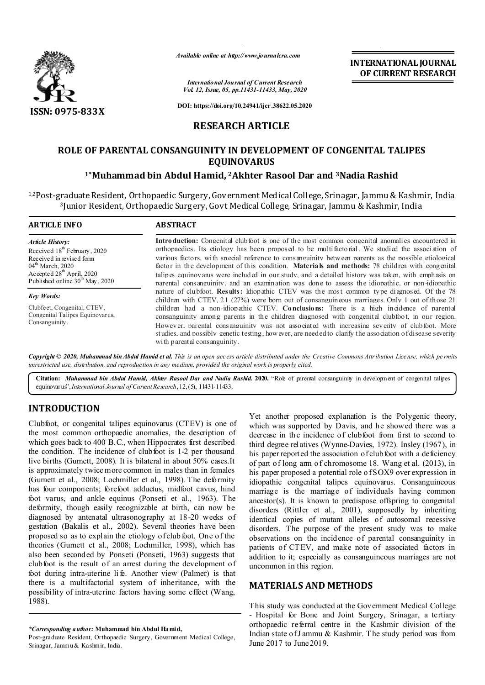

*Available online at http://www.journalcra.com*

*International Journal of Current Research Vol. 12, Issue, 05, pp.11431-11433, May, 2020* **INTERNATIONAL JOURNAL OF CURRENT RESEARCH**

**DOI: https://doi.org/10.24941/ijcr.38622.05.2020**

### **RESEARCH ARTICLE**

# **ROLE OF PARENTAL CONSANGUINITY IN DEVELOPMENT OF CONGENITAL TALIPES EQUINOVARUS**

# **1\*Muhammad bin Abdul Hamid, 2Akhter Rasool Dar and 3Nadia Rashid**

1,2Post-graduate Resident, Orthopaedic Surgery, Government Medical College, Srinagar, Jammu & Kashmir, India 3Junior Resident, Orthopaedic Surgery, Govt Medical College, Srinagar, Jammu & Kashmir, India

| <b>ARTICLE INFO</b>                                                                                                                                                             | <b>ABSTRACT</b>                                                                                                                                                                                                                                                                                                                                                                                                                                                                                                                                                                                                                                                                                                                                                                                                                        |  |
|---------------------------------------------------------------------------------------------------------------------------------------------------------------------------------|----------------------------------------------------------------------------------------------------------------------------------------------------------------------------------------------------------------------------------------------------------------------------------------------------------------------------------------------------------------------------------------------------------------------------------------------------------------------------------------------------------------------------------------------------------------------------------------------------------------------------------------------------------------------------------------------------------------------------------------------------------------------------------------------------------------------------------------|--|
| <b>Article History:</b><br>Received $18th$ February, 2020<br>Received in revised form<br>$04th$ March, 2020<br>Accepted $28th$ April, 2020<br>Published online $30th$ May, 2020 | <b>Introduction:</b> Congenital club foot is one of the most common congenital anomalies encountered in<br>orthopaedics. Its etiology has been proposed to be multifactorial. We studied the association of<br>various factors, with special reference to consanguinity between parents as the possible etiological<br>factor in the development of this condition. <b>Materials and methods:</b> 78 children with congenital<br>talines equinovants were included in our study, and a detailed history was taken, with emphasis on<br>parental consanguinity, and an examination was done to assess the idiopathic, or non-idiopathic<br>nature of clubfoot. Results: Idiopathic CTEV was the most common type diagnosed. Of the 78<br>children with CTEV, 21 (27%) were born out of consanguineous marriages. Only 1 out of those 21 |  |
| <b>Key Words:</b>                                                                                                                                                               |                                                                                                                                                                                                                                                                                                                                                                                                                                                                                                                                                                                                                                                                                                                                                                                                                                        |  |
| Clubfe et, Congenital, CTEV,<br>Congenital Talipes Equinovarus,<br>Consanguinity.                                                                                               | children had a non-idionathic CTEV. Conclusions: There is a high incidence of parental<br>consanguinity among parents in the children diagnosed with congenital clubfoot, in our region.<br>However, parental consanguinity was not associated with increasing severity of clubfoot. More<br>studies, and possibly genetic testing, however, are needed to clarify the association of disease severity<br>with parental consanguinity.                                                                                                                                                                                                                                                                                                                                                                                                 |  |

Copyright © 2020. Muhammad bin Abdul Hamid et al. This is an open access article distributed under the Creative Commons Attribution License, which permits *unrestricted use, distribution, and reproduction in any medium, provided the original work is properly cited.*

Citation: *Muhammad bin Abdul Hamid, Akhter Rasool Dar and Nadia Rashid.* 2020. "Role of parental consanguinity in development of congenital talipes equinovarus",*International Journal of CurrentResearch*,12,(5), 11431-11433.

# **INTRODUCTION**

Clubfoot, or congenital talipes equinovarus (CTEV) is one of the most common orthopaedic anomalies, the description of which goes back to 400 B.C., when Hippocrates first described the condition. The incidence of clubfoot is 1-2 per thousand live births (Gurnett, 2008). It is bilateral in about 50% cases.It is approximately twice more common in males than in females (Gurnett et al., 2008; Lochmiller et al., 1998). The deformity has four components; forefoot adductus, midfoot cavus, hind foot varus, and ankle equinus (Ponseti et al., 1963). The deformity, though easily recognizable at birth, can now be diagnosed by antenatal ultrasonography at 18-20 weeks of gestation (Bakalis et al., 2002). Several theories have been proposed so as to explain the etiology of club foot. One of the theories (Gurnett et al., 2008; Lochmiller, 1998), which has also been seconded by Ponseti (Ponseti, 1963) suggests that clubfoot is the result of an arrest during the development of foot during intra-uterine li fe. Another view (Palmer) is that there is a multifactorial system of inheritance, with the possibility of intra-uterine factors having some effect (Wang, 1988).

Yet another proposed explanation is the Polygenic theory, which was supported by Davis, and he showed there was a decrease in the incidence of clubfoot from first to second to third degree relatives (Wynne-Davies, 1972). Insley (1967), in his paper reported the association of club foot with a deficiency of part of long arm of chromosome 18. Wang et al. (2013), in his paper proposed a potential role of SOX9 over expression in idiopathic congenital talipes equinovarus. Consanguineous marriage is the marriage of individuals having common ancestor(s). It is known to predispose offspring to congenital disorders (Rittler et al., 2001), supposedly by inheriting identical copies of mutant alleles of autosomal recessive disorders. The purpose of the present study was to make observations on the incidence of parental consanguinity in patients of CTEV, and make note of associated factors in addition to it; especially as consanguineous marriages are not uncommon in this region.

# **MATERIALS AND METHODS**

This study was conducted at the Government Medical College - Hospital for Bone and Joint Surgery, Srinagar, a tertiary orthopaedic referral centre in the Kashmir division of the Indian state of J ammu & Kashmir. T he study period was from June 2017 to June 2019.

*<sup>\*</sup>Corresponding author:* **Muhammad bin Abdul Hamid,**

Post-graduate Resident, Orthopaedic Surgery, Government Medical College, Srinagar, Jammu & Kashmir, India.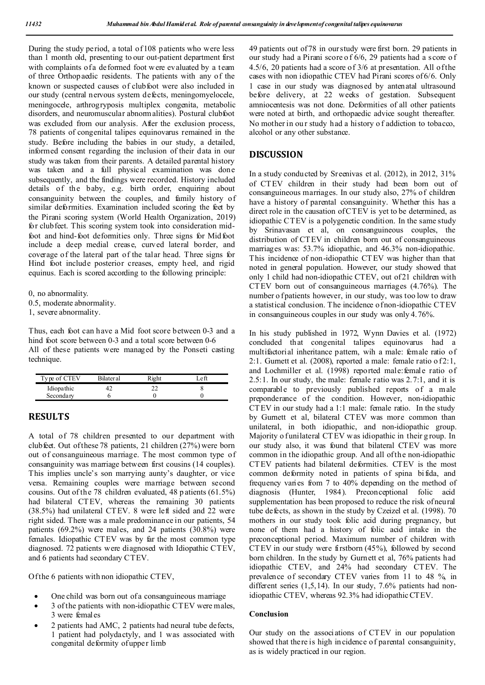During the study period, a total of 108 patients who were less than 1 month old, presenting to our out-patient department first with complaints of a deformed foot were evaluated by a team of three Orthopaedic residents. The patients with any of the known or suspected causes of clubfoot were also included in our study (central nervous system defects, meningomyelocele, meningocele, arthrogryposis multiplex congenita, metabolic disorders, and neuromuscular abnormalities). Postural clubfoot was excluded from our analysis. After the exclusion process, 78 patients of congenital talipes equinovarus remained in the study. Before including the babies in our study, a detailed, informed consent regarding the inclusion of their data in our study was taken from their parents. A detailed parental history was taken and a full physical examination was done subsequently, and the findings were recorded. History included details of the baby, e.g. birth order, enquiring about consanguinity between the couples, and family history of similar deformities. Examination included scoring the feet by the Pirani scoring system (World Health Organization, 2019) for clubfeet. This scoring system took into consideration midfoot and hind-foot deformities only. Three signs for Mid foot include a deep medial crease, curved lateral border, and coverage of the lateral part of the talar head. Three signs for Hind foot include posterior creases, empty heel, and rigid equinus. Each is scored according to the following principle:

0, no abnormality.

0.5, moderate abnormality.

1, severe abnormality.

Thus, each foot can have a Mid foot score between 0-3 and a hind foot score between 0-3 and a total score between 0-6 All of these patients were managed by the Ponseti casting technique.

| Type of CTEV | <b>Bilateral</b> | $P_{12h}$ | 'et |
|--------------|------------------|-----------|-----|
| Idiopathic   |                  |           |     |
| Secondary    |                  |           |     |

#### **RESULTS**

A total of 78 children presented to our department with clubfeet. Out of these 78 patients, 21 children (27%) were born out of consanguineous marriage. The most common type of consanguinity was marriage between first cousins (14 couples). This implies uncle's son marrying aunty's daughter, or vice versa. Remaining couples were marriage between second cousins. Out of the 78 children evaluated, 48 p atients (61.5%) had bilateral CTEV, whereas the remaining 30 patients (38.5%) had unilateral CTEV. 8 were left sided and 22 were right sided. There was a male predominance in our patients, 54 patients (69.2%) were males, and 24 patients (30.8%) were females. Idiopathic CTEV was by far the most common type diagnosed. 72 patients were diagnosed with Idiopathic CTEV, and 6 patients had secondary CTEV.

Of the 6 patients with non idiopathic CTEV,

- One child was born out of a consanguineous marriage
- 3 of the patients with non-idiopathic CTEV were males, 3 were females
- 2 patients had AMC, 2 patients had neural tube defects, 1 patient had polydactyly, and 1 was associated with congenital deformity of upper limb

49 patients out of 78 in our study were first born. 29 patients in our study had a Pirani score o f 6/6, 29 patients had a score o f 4.5/6, 20 patients had a score of 3/6 at presentation. All of the cases with non idiopathic CTEV had Pirani scores of 6/6. Only 1 case in our study was diagnosed by antenatal ultrasound before delivery, at 22 weeks of gestation. Subsequent amniocentesis was not done. Deformities of all other patients were noted at birth, and orthopaedic advice sought thereafter. No mother in our study had a history of addiction to tobacco, alcohol or any other substance.

#### **DISCUSSION**

In a study conducted by Sreenivas et al. (2012), in 2012, 31% of CTEV children in their study had been born out of consanguineous marriages. In our study also, 27% of children have a history of parental consanguinity. Whether this has a direct role in the causation of CTEV is yet to be determined, as idiopathic CTEV is a polygenetic condition. In the same study by Srinavasan et al, on consanguineous couples, the distribution of CTEV in children born out of consanguineous marriages was: 53.7% idiopathic, and 46.3% non-idiopathic. This incidence of non-idiopathic CTEV was higher than that noted in general population. However, our study showed that only 1 child had non-idiopathic CTEV, out of 21 children with CTEV born out of consanguineous marriages (4.76%). The number o f patients however, in our study, was too low to draw a statistical conclusion. The incidence of non-idiopathic CTEV in consanguineous couples in our study was only 4.76%.

In his study published in 1972, Wynn Davies et al. (1972) concluded that congenital talipes equinovarus had a multifactorial inheritance pattern, wih a male: female ratio of 2:1. Gurnett et al. (2008), reported a male: female ratio o f 2:1, and Lochmiller et al. (1998) reported male: female ratio of 2.5:1. In our study, the male: female ratio was 2.7:1, and it is comparable to previously published reports of a male preponderance of the condition. However, non-idiopathic CTEV in our study had a 1:1 male: female ratio. In the study by Gurnett et al, bilateral CTEV was more common than unilateral, in both idiopathic, and non-idiopathic group. Majority o funilateral CTEV was idiopathic in their group. In our study also, it was found that bilateral CTEV was more common in the idiopathic group. And all of the non-idiopathic CTEV patients had bilateral deformities. CTEV is the most common deformity noted in patients of spina bifida, and frequency varies from 7 to 40% depending on the method of diagnosis (Hunter, 1984). Preconceptional folic acid supplementation has been proposed to reduce the risk of neural tube defects, as shown in the study by Czeizel et al. (1998). 70 mothers in our study took folic acid during pregnancy, but none of them had a history of folic acid intake in the preconceptional period. Maximum number of children with CTEV in our study were firstborn (45%), followed by second born children. In the study by Gurnett et al, 76% patients had idiopathic CTEV, and 24% had secondary CTEV. The prevalence of secondary CTEV varies from 11 to 48 %, in different series (1,5,14). In our study, 7.6% patients had nonidiopathic CTEV, whereas 92.3% had idiopathic CTEV.

#### **Conclusion**

Our study on the associations of CTEV in our population showed that there is high incidence of parental consanguinity, as is widely practiced in our region.